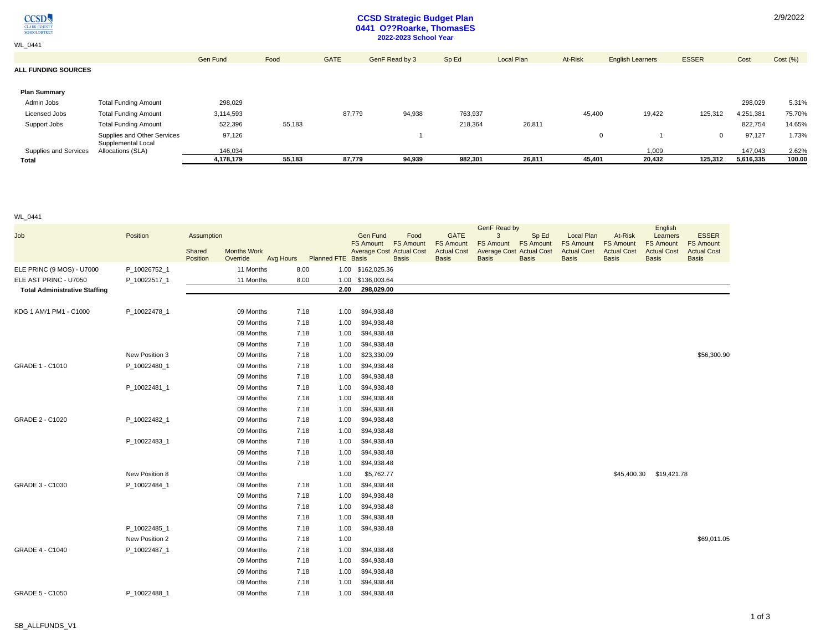

WL\_0441

# **CCSD Strategic Budget Plan 0441 O??Roarke, ThomasES 2022-2023 School Year**

|                            |                                                   | <b>Gen Fund</b> | Food   | <b>GATE</b> | GenF Read by 3 | Sp Ed   | <b>Local Plan</b> | At-Risk      | <b>English Learners</b> | <b>ESSER</b> | Cost      | Cost(%) |
|----------------------------|---------------------------------------------------|-----------------|--------|-------------|----------------|---------|-------------------|--------------|-------------------------|--------------|-----------|---------|
| <b>ALL FUNDING SOURCES</b> |                                                   |                 |        |             |                |         |                   |              |                         |              |           |         |
|                            |                                                   |                 |        |             |                |         |                   |              |                         |              |           |         |
| <b>Plan Summary</b>        |                                                   |                 |        |             |                |         |                   |              |                         |              |           |         |
| Admin Jobs                 | <b>Total Funding Amount</b>                       | 298,029         |        |             |                |         |                   |              |                         |              | 298,029   | 5.31%   |
| Licensed Jobs              | <b>Total Funding Amount</b>                       | 3,114,593       |        | 87,779      | 94,938         | 763,937 |                   | 45,400       | 19,422                  | 125,312      | 4,251,381 | 75.70%  |
| Support Jobs               | <b>Total Funding Amount</b>                       | 522,396         | 55,183 |             |                | 218,364 | 26,811            |              |                         |              | 822,754   | 14.65%  |
|                            | Supplies and Other Services<br>Supplemental Local | 97,126          |        |             |                |         |                   | $\mathbf{0}$ |                         | v            | 97,127    | 1.73%   |
| Supplies and Services      | Allocations (SLA)                                 | 146,034         |        |             |                |         |                   |              | 1,009                   |              | 147,043   | 2.62%   |
| Total                      |                                                   | 4,178,179       | 55,183 | 87,779      | 94,939         | 982,301 | 26,811            | 45,401       | 20,432                  | 125,312      | 5,616,335 | 100.00  |

### WL\_0441

| Job                                  | Position       | Assumption         |                                |           |                          | Gen Fund<br>Food<br>FS Amount FS Amount         | <b>GATE</b><br><b>FS Amount</b>    | GenF Read by<br>Sp Ed<br>3<br>FS Amount FS Amount               | <b>Local Plan</b><br><b>FS Amount</b> | At-Risk<br><b>FS Amount</b>        | English<br>Learners<br><b>FS Amount</b> | <b>ESSER</b><br><b>FS Amount</b>   |
|--------------------------------------|----------------|--------------------|--------------------------------|-----------|--------------------------|-------------------------------------------------|------------------------------------|-----------------------------------------------------------------|---------------------------------------|------------------------------------|-----------------------------------------|------------------------------------|
|                                      |                | Shared<br>Position | <b>Months Work</b><br>Override | Avg Hours | <b>Planned FTE Basis</b> | <b>Average Cost Actual Cost</b><br><b>Basis</b> | <b>Actual Cost</b><br><b>Basis</b> | <b>Average Cost Actual Cost</b><br><b>Basis</b><br><b>Basis</b> | <b>Actual Cost</b><br><b>Basis</b>    | <b>Actual Cost</b><br><b>Basis</b> | <b>Actual Cost</b><br><b>Basis</b>      | <b>Actual Cost</b><br><b>Basis</b> |
| ELE PRINC (9 MOS) - U7000            | P_10026752_1   |                    | 11 Months                      | 8.00      |                          | 1.00 \$162,025.36                               |                                    |                                                                 |                                       |                                    |                                         |                                    |
| ELE AST PRINC - U7050                | P_10022517_1   |                    | 11 Months                      | 8.00      |                          | 1.00 \$136,003.64                               |                                    |                                                                 |                                       |                                    |                                         |                                    |
| <b>Total Administrative Staffing</b> |                |                    |                                |           | 2.00                     | 298,029.00                                      |                                    |                                                                 |                                       |                                    |                                         |                                    |
| KDG 1 AM/1 PM1 - C1000               | P 10022478 1   |                    | 09 Months                      | 7.18      | 1.00                     | \$94,938.48                                     |                                    |                                                                 |                                       |                                    |                                         |                                    |
|                                      |                |                    | 09 Months                      | 7.18      | 1.00                     | \$94,938.48                                     |                                    |                                                                 |                                       |                                    |                                         |                                    |
|                                      |                |                    | 09 Months                      | 7.18      | 1.00                     | \$94,938.48                                     |                                    |                                                                 |                                       |                                    |                                         |                                    |
|                                      |                |                    | 09 Months                      | 7.18      | 1.00                     | \$94,938.48                                     |                                    |                                                                 |                                       |                                    |                                         |                                    |
|                                      | New Position 3 |                    | 09 Months                      | 7.18      | 1.00                     | \$23,330.09                                     |                                    |                                                                 |                                       |                                    |                                         | \$56,300.90                        |
| GRADE 1 - C1010                      | P_10022480_1   |                    | 09 Months                      | 7.18      | 1.00                     | \$94,938.48                                     |                                    |                                                                 |                                       |                                    |                                         |                                    |
|                                      |                |                    | 09 Months                      | 7.18      | 1.00                     | \$94,938.48                                     |                                    |                                                                 |                                       |                                    |                                         |                                    |
|                                      | P_10022481_1   |                    | 09 Months                      | 7.18      | 1.00                     | \$94,938.48                                     |                                    |                                                                 |                                       |                                    |                                         |                                    |
|                                      |                |                    | 09 Months                      | 7.18      | 1.00                     | \$94,938.48                                     |                                    |                                                                 |                                       |                                    |                                         |                                    |
|                                      |                |                    | 09 Months                      | 7.18      | 1.00                     | \$94,938.48                                     |                                    |                                                                 |                                       |                                    |                                         |                                    |
| GRADE 2 - C1020                      | P 10022482 1   |                    | 09 Months                      | 7.18      | 1.00                     | \$94,938.48                                     |                                    |                                                                 |                                       |                                    |                                         |                                    |
|                                      |                |                    | 09 Months                      | 7.18      | 1.00                     | \$94,938.48                                     |                                    |                                                                 |                                       |                                    |                                         |                                    |
|                                      | P 10022483 1   |                    | 09 Months                      | 7.18      | 1.00                     | \$94,938.48                                     |                                    |                                                                 |                                       |                                    |                                         |                                    |
|                                      |                |                    | 09 Months                      | 7.18      | 1.00                     | \$94,938.48                                     |                                    |                                                                 |                                       |                                    |                                         |                                    |
|                                      |                |                    | 09 Months                      | 7.18      | 1.00                     | \$94,938.48                                     |                                    |                                                                 |                                       |                                    |                                         |                                    |
|                                      | New Position 8 |                    | 09 Months                      |           | 1.00                     | \$5,762.77                                      |                                    |                                                                 |                                       | \$45,400.30                        | \$19,421.78                             |                                    |
| GRADE 3 - C1030                      | P_10022484_1   |                    | 09 Months                      | 7.18      | 1.00                     | \$94,938.48                                     |                                    |                                                                 |                                       |                                    |                                         |                                    |
|                                      |                |                    | 09 Months                      | 7.18      | 1.00                     | \$94,938.48                                     |                                    |                                                                 |                                       |                                    |                                         |                                    |
|                                      |                |                    | 09 Months                      | 7.18      | 1.00                     | \$94,938.48                                     |                                    |                                                                 |                                       |                                    |                                         |                                    |
|                                      |                |                    | 09 Months                      | 7.18      | 1.00                     | \$94,938.48                                     |                                    |                                                                 |                                       |                                    |                                         |                                    |
|                                      | P 10022485 1   |                    | 09 Months                      | 7.18      | 1.00                     | \$94,938.48                                     |                                    |                                                                 |                                       |                                    |                                         |                                    |
|                                      | New Position 2 |                    | 09 Months                      | 7.18      | 1.00                     |                                                 |                                    |                                                                 |                                       |                                    |                                         | \$69,011.05                        |
| GRADE 4 - C1040                      | P_10022487_1   |                    | 09 Months                      | 7.18      | 1.00                     | \$94,938.48                                     |                                    |                                                                 |                                       |                                    |                                         |                                    |
|                                      |                |                    | 09 Months                      | 7.18      | 1.00                     | \$94,938.48                                     |                                    |                                                                 |                                       |                                    |                                         |                                    |
|                                      |                |                    | 09 Months                      | 7.18      | 1.00                     | \$94,938.48                                     |                                    |                                                                 |                                       |                                    |                                         |                                    |
|                                      |                |                    | 09 Months                      | 7.18      | 1.00                     | \$94,938.48                                     |                                    |                                                                 |                                       |                                    |                                         |                                    |
| GRADE 5 - C1050                      | P 10022488 1   |                    | 09 Months                      | 7.18      | 1.00                     | \$94,938.48                                     |                                    |                                                                 |                                       |                                    |                                         |                                    |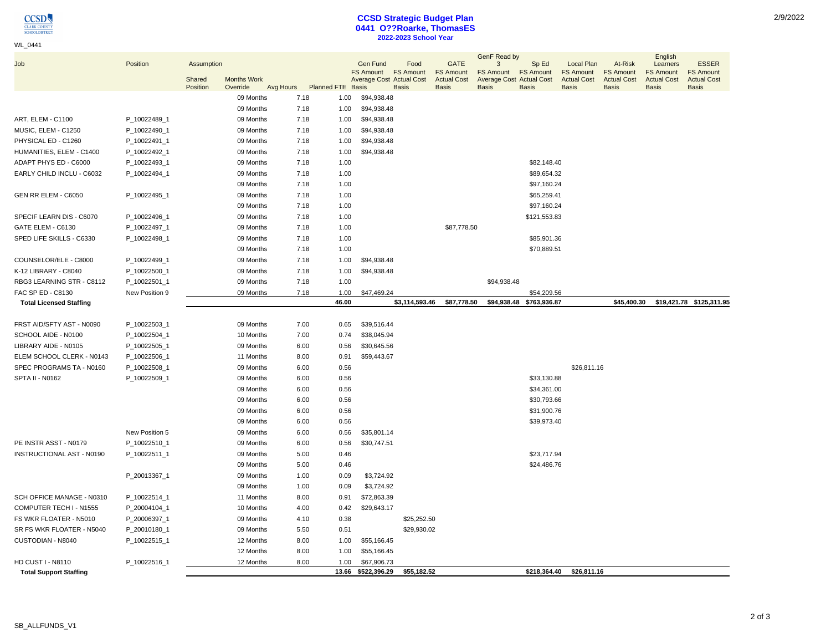#### WL\_0441

### **CCSD Strategic Budget Plan 0441 O??Roarke, ThomasES 2022-2023 School Year**

|                                |                |            |                    |           |                          |                              |                                 |                                 | GenF Read by                    |                          |                                       |                             | English                                |                                  |
|--------------------------------|----------------|------------|--------------------|-----------|--------------------------|------------------------------|---------------------------------|---------------------------------|---------------------------------|--------------------------|---------------------------------------|-----------------------------|----------------------------------------|----------------------------------|
| Job                            | Position       | Assumption |                    |           |                          | Gen Fund<br><b>FS Amount</b> | Food<br><b>FS Amount</b>        | <b>GATE</b><br><b>FS Amount</b> | 3<br>FS Amount FS Amount        | Sp Ed                    | <b>Local Plan</b><br><b>FS Amount</b> | At-Risk<br><b>FS Amount</b> | Learners                               | <b>ESSER</b><br><b>FS Amount</b> |
|                                |                | Shared     | <b>Months Work</b> |           |                          |                              | <b>Average Cost Actual Cost</b> | <b>Actual Cost</b>              | <b>Average Cost Actual Cost</b> |                          | <b>Actual Cost</b>                    | <b>Actual Cost</b>          | <b>FS Amount</b><br><b>Actual Cost</b> | <b>Actual Cost</b>               |
|                                |                | Position   | Override           | Avg Hours | <b>Planned FTE Basis</b> |                              | <b>Basis</b>                    | <b>Basis</b>                    | <b>Basis</b>                    | <b>Basis</b>             | <b>Basis</b>                          | <b>Basis</b>                | <b>Basis</b>                           | <b>Basis</b>                     |
|                                |                |            | 09 Months          | 7.18      | 1.00                     | \$94,938.48                  |                                 |                                 |                                 |                          |                                       |                             |                                        |                                  |
|                                |                |            | 09 Months          | 7.18      | 1.00                     | \$94,938.48                  |                                 |                                 |                                 |                          |                                       |                             |                                        |                                  |
| <b>ART, ELEM - C1100</b>       | P_10022489_1   |            | 09 Months          | 7.18      | 1.00                     | \$94,938.48                  |                                 |                                 |                                 |                          |                                       |                             |                                        |                                  |
| MUSIC, ELEM - C1250            | P_10022490_1   |            | 09 Months          | 7.18      | 1.00                     | \$94,938.48                  |                                 |                                 |                                 |                          |                                       |                             |                                        |                                  |
| PHYSICAL ED - C1260            | P_10022491_1   |            | 09 Months          | 7.18      | 1.00                     | \$94,938.48                  |                                 |                                 |                                 |                          |                                       |                             |                                        |                                  |
| HUMANITIES, ELEM - C1400       | P_10022492_1   |            | 09 Months          | 7.18      | 1.00                     | \$94,938.48                  |                                 |                                 |                                 |                          |                                       |                             |                                        |                                  |
| ADAPT PHYS ED - C6000          | P_10022493_1   |            | 09 Months          | 7.18      | 1.00                     |                              |                                 |                                 |                                 | \$82,148.40              |                                       |                             |                                        |                                  |
| EARLY CHILD INCLU - C6032      | P_10022494_1   |            | 09 Months          | 7.18      | 1.00                     |                              |                                 |                                 |                                 | \$89,654.32              |                                       |                             |                                        |                                  |
|                                |                |            | 09 Months          | 7.18      | 1.00                     |                              |                                 |                                 |                                 | \$97,160.24              |                                       |                             |                                        |                                  |
| GEN RR ELEM - C6050            | P_10022495_1   |            | 09 Months          | 7.18      | 1.00                     |                              |                                 |                                 |                                 | \$65,259.41              |                                       |                             |                                        |                                  |
|                                |                |            | 09 Months          | 7.18      | 1.00                     |                              |                                 |                                 |                                 | \$97,160.24              |                                       |                             |                                        |                                  |
| SPECIF LEARN DIS - C6070       | P_10022496_1   |            | 09 Months          | 7.18      | 1.00                     |                              |                                 |                                 |                                 | \$121,553.83             |                                       |                             |                                        |                                  |
| GATE ELEM - C6130              | P_10022497_1   |            | 09 Months          | 7.18      | 1.00                     |                              |                                 | \$87,778.50                     |                                 |                          |                                       |                             |                                        |                                  |
| SPED LIFE SKILLS - C6330       | P_10022498_1   |            | 09 Months          | 7.18      | 1.00                     |                              |                                 |                                 |                                 | \$85,901.36              |                                       |                             |                                        |                                  |
|                                |                |            | 09 Months          | 7.18      | 1.00                     |                              |                                 |                                 |                                 | \$70,889.51              |                                       |                             |                                        |                                  |
| COUNSELOR/ELE - C8000          | P_10022499_1   |            | 09 Months          | 7.18      | 1.00                     | \$94,938.48                  |                                 |                                 |                                 |                          |                                       |                             |                                        |                                  |
| K-12 LIBRARY - C8040           | P_10022500_1   |            | 09 Months          | 7.18      | 1.00                     | \$94,938.48                  |                                 |                                 |                                 |                          |                                       |                             |                                        |                                  |
| RBG3 LEARNING STR - C8112      | P_10022501_1   |            | 09 Months          | 7.18      | 1.00                     |                              |                                 |                                 | \$94,938.48                     |                          |                                       |                             |                                        |                                  |
| FAC SP ED - C8130              | New Position 9 |            | 09 Months          | 7.18      | 1.00                     | \$47,469.24                  |                                 |                                 |                                 | \$54,209.56              |                                       |                             |                                        |                                  |
| <b>Total Licensed Staffing</b> |                |            |                    |           | 46.00                    |                              | \$3,114,593.46                  | \$87,778.50                     |                                 | \$94,938.48 \$763,936.87 |                                       | \$45,400.30                 |                                        | \$19,421.78 \$125,311.95         |
|                                |                |            |                    |           |                          |                              |                                 |                                 |                                 |                          |                                       |                             |                                        |                                  |
| FRST AID/SFTY AST - N0090      | P_10022503_1   |            | 09 Months          | 7.00      | 0.65                     | \$39,516.44                  |                                 |                                 |                                 |                          |                                       |                             |                                        |                                  |
| SCHOOL AIDE - N0100            | P_10022504_1   |            | 10 Months          | 7.00      | 0.74                     | \$38,045.94                  |                                 |                                 |                                 |                          |                                       |                             |                                        |                                  |
| LIBRARY AIDE - N0105           | P_10022505_1   |            | 09 Months          | 6.00      | 0.56                     | \$30,645.56                  |                                 |                                 |                                 |                          |                                       |                             |                                        |                                  |
| ELEM SCHOOL CLERK - N0143      | P_10022506_1   |            | 11 Months          |           | 8.00<br>0.91             | \$59,443.67                  |                                 |                                 |                                 |                          |                                       |                             |                                        |                                  |
| SPEC PROGRAMS TA - N0160       | P_10022508_1   |            | 09 Months          |           | 6.00<br>0.56             |                              |                                 |                                 |                                 |                          | \$26,811.16                           |                             |                                        |                                  |
| <b>SPTA II - N0162</b>         | P 10022509 1   |            | 09 Months          |           | 6.00<br>0.56             |                              |                                 |                                 |                                 | \$33,130.88              |                                       |                             |                                        |                                  |
|                                |                |            | 09 Months          |           | 0.56<br>6.00             |                              |                                 |                                 |                                 | \$34,361.00              |                                       |                             |                                        |                                  |
|                                |                |            | 09 Months          | 6.00      | 0.56                     |                              |                                 |                                 |                                 | \$30,793.66              |                                       |                             |                                        |                                  |
|                                |                |            | 09 Months          |           | 6.00<br>0.56             |                              |                                 |                                 |                                 | \$31,900.76              |                                       |                             |                                        |                                  |
|                                |                |            | 09 Months          |           | 6.00<br>0.56             |                              |                                 |                                 |                                 | \$39,973.40              |                                       |                             |                                        |                                  |
|                                | New Position 5 |            | 09 Months          | 6.00      | 0.56                     | \$35,801.14                  |                                 |                                 |                                 |                          |                                       |                             |                                        |                                  |
| PE INSTR ASST - N0179          | P_10022510_1   |            | 09 Months          |           | 6.00<br>0.56             | \$30,747.51                  |                                 |                                 |                                 |                          |                                       |                             |                                        |                                  |
| INSTRUCTIONAL AST - N0190      | P_10022511_1   |            | 09 Months          |           | 5.00<br>0.46             |                              |                                 |                                 |                                 | \$23,717.94              |                                       |                             |                                        |                                  |
|                                |                |            | 09 Months          |           | 5.00<br>0.46             |                              |                                 |                                 |                                 | \$24,486.76              |                                       |                             |                                        |                                  |
|                                | P_20013367_1   |            | 09 Months          | 1.00      | 0.09                     | \$3,724.92                   |                                 |                                 |                                 |                          |                                       |                             |                                        |                                  |
|                                |                |            | 09 Months          | 1.00      | 0.09                     | \$3,724.92                   |                                 |                                 |                                 |                          |                                       |                             |                                        |                                  |
| SCH OFFICE MANAGE - N0310      | P_10022514_1   |            | 11 Months          |           | 8.00<br>0.91             | \$72,863.39                  |                                 |                                 |                                 |                          |                                       |                             |                                        |                                  |
| COMPUTER TECH I - N1555        | P_20004104_1   |            | 10 Months          |           | 4.00<br>0.42             | \$29,643.17                  |                                 |                                 |                                 |                          |                                       |                             |                                        |                                  |
| FS WKR FLOATER - N5010         | P_20006397_1   |            | 09 Months          |           | 4.10<br>0.38             |                              | \$25,252.50                     |                                 |                                 |                          |                                       |                             |                                        |                                  |
| SR FS WKR FLOATER - N5040      | P_20010180_1   |            | 09 Months          |           | 0.51<br>5.50             |                              | \$29,930.02                     |                                 |                                 |                          |                                       |                             |                                        |                                  |
| CUSTODIAN - N8040              | P_10022515_1   |            | 12 Months          | 8.00      | 1.00                     | \$55,166.45                  |                                 |                                 |                                 |                          |                                       |                             |                                        |                                  |
|                                |                |            | 12 Months          | 8.00      | 1.00                     | \$55,166.45                  |                                 |                                 |                                 |                          |                                       |                             |                                        |                                  |
| <b>HD CUST I - N8110</b>       | P_10022516_1   |            | 12 Months          | 8.00      | 1.00                     | \$67,906.73                  |                                 |                                 |                                 |                          |                                       |                             |                                        |                                  |
| <b>Total Support Staffing</b>  |                |            |                    |           |                          | 13.66 \$522,396.29           | \$55,182.52                     |                                 |                                 | \$218,364.40             | \$26,811.16                           |                             |                                        |                                  |
|                                |                |            |                    |           |                          |                              |                                 |                                 |                                 |                          |                                       |                             |                                        |                                  |